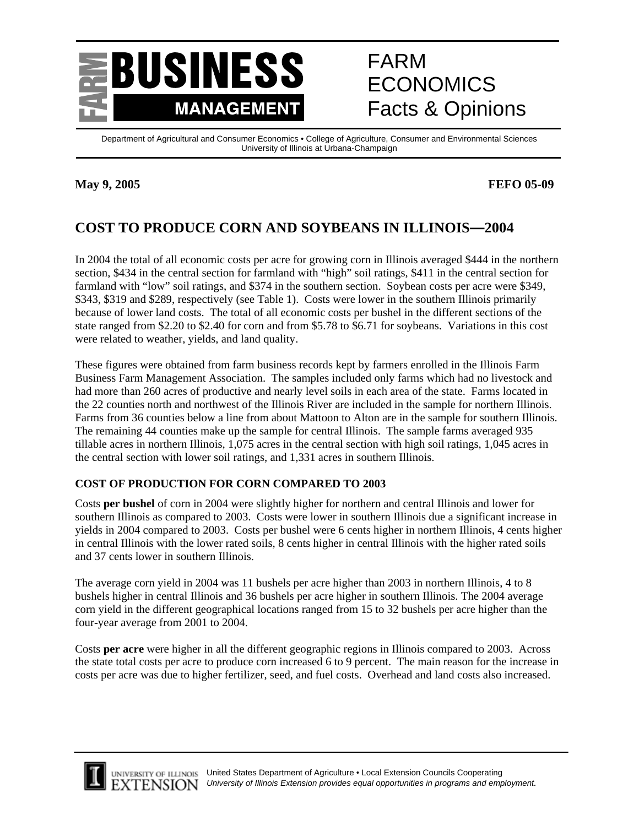

# FARM ECONOMICS Facts & Opinions

Department of Agricultural and Consumer Economics • College of Agriculture, Consumer and Environmental Sciences University of Illinois at Urbana-Champaign

## **May 9, 2005 FEFO 05-09**

## **COST TO PRODUCE CORN AND SOYBEANS IN ILLINOIS—2004**

In 2004 the total of all economic costs per acre for growing corn in Illinois averaged \$444 in the northern section, \$434 in the central section for farmland with "high" soil ratings, \$411 in the central section for farmland with "low" soil ratings, and \$374 in the southern section. Soybean costs per acre were \$349, \$343, \$319 and \$289, respectively (see Table 1). Costs were lower in the southern Illinois primarily because of lower land costs. The total of all economic costs per bushel in the different sections of the state ranged from \$2.20 to \$2.40 for corn and from \$5.78 to \$6.71 for soybeans. Variations in this cost were related to weather, yields, and land quality.

These figures were obtained from farm business records kept by farmers enrolled in the Illinois Farm Business Farm Management Association. The samples included only farms which had no livestock and had more than 260 acres of productive and nearly level soils in each area of the state. Farms located in the 22 counties north and northwest of the Illinois River are included in the sample for northern Illinois. Farms from 36 counties below a line from about Mattoon to Alton are in the sample for southern Illinois. The remaining 44 counties make up the sample for central Illinois. The sample farms averaged 935 tillable acres in northern Illinois, 1,075 acres in the central section with high soil ratings, 1,045 acres in the central section with lower soil ratings, and 1,331 acres in southern Illinois.

## **COST OF PRODUCTION FOR CORN COMPARED TO 2003**

Costs **per bushel** of corn in 2004 were slightly higher for northern and central Illinois and lower for southern Illinois as compared to 2003. Costs were lower in southern Illinois due a significant increase in yields in 2004 compared to 2003. Costs per bushel were 6 cents higher in northern Illinois, 4 cents higher in central Illinois with the lower rated soils, 8 cents higher in central Illinois with the higher rated soils and 37 cents lower in southern Illinois.

The average corn yield in 2004 was 11 bushels per acre higher than 2003 in northern Illinois, 4 to 8 bushels higher in central Illinois and 36 bushels per acre higher in southern Illinois. The 2004 average corn yield in the different geographical locations ranged from 15 to 32 bushels per acre higher than the four-year average from 2001 to 2004.

Costs **per acre** were higher in all the different geographic regions in Illinois compared to 2003. Across the state total costs per acre to produce corn increased 6 to 9 percent. The main reason for the increase in costs per acre was due to higher fertilizer, seed, and fuel costs. Overhead and land costs also increased.



L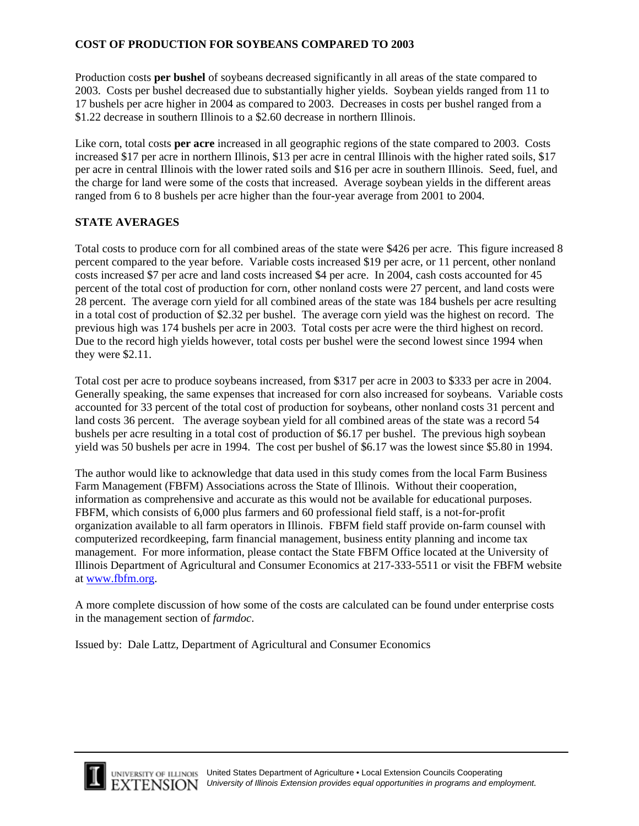## **COST OF PRODUCTION FOR SOYBEANS COMPARED TO 2003**

Production costs **per bushel** of soybeans decreased significantly in all areas of the state compared to 2003. Costs per bushel decreased due to substantially higher yields. Soybean yields ranged from 11 to 17 bushels per acre higher in 2004 as compared to 2003. Decreases in costs per bushel ranged from a \$1.22 decrease in southern Illinois to a \$2.60 decrease in northern Illinois.

Like corn, total costs **per acre** increased in all geographic regions of the state compared to 2003. Costs increased \$17 per acre in northern Illinois, \$13 per acre in central Illinois with the higher rated soils, \$17 per acre in central Illinois with the lower rated soils and \$16 per acre in southern Illinois. Seed, fuel, and the charge for land were some of the costs that increased. Average soybean yields in the different areas ranged from 6 to 8 bushels per acre higher than the four-year average from 2001 to 2004.

### **STATE AVERAGES**

Total costs to produce corn for all combined areas of the state were \$426 per acre. This figure increased 8 percent compared to the year before. Variable costs increased \$19 per acre, or 11 percent, other nonland costs increased \$7 per acre and land costs increased \$4 per acre. In 2004, cash costs accounted for 45 percent of the total cost of production for corn, other nonland costs were 27 percent, and land costs were 28 percent. The average corn yield for all combined areas of the state was 184 bushels per acre resulting in a total cost of production of \$2.32 per bushel. The average corn yield was the highest on record. The previous high was 174 bushels per acre in 2003. Total costs per acre were the third highest on record. Due to the record high yields however, total costs per bushel were the second lowest since 1994 when they were \$2.11.

Total cost per acre to produce soybeans increased, from \$317 per acre in 2003 to \$333 per acre in 2004. Generally speaking, the same expenses that increased for corn also increased for soybeans. Variable costs accounted for 33 percent of the total cost of production for soybeans, other nonland costs 31 percent and land costs 36 percent. The average soybean yield for all combined areas of the state was a record 54 bushels per acre resulting in a total cost of production of \$6.17 per bushel. The previous high soybean yield was 50 bushels per acre in 1994. The cost per bushel of \$6.17 was the lowest since \$5.80 in 1994.

The author would like to acknowledge that data used in this study comes from the local Farm Business Farm Management (FBFM) Associations across the State of Illinois. Without their cooperation, information as comprehensive and accurate as this would not be available for educational purposes. FBFM, which consists of 6,000 plus farmers and 60 professional field staff, is a not-for-profit organization available to all farm operators in Illinois. FBFM field staff provide on-farm counsel with computerized recordkeeping, farm financial management, business entity planning and income tax management. For more information, please contact the State FBFM Office located at the University of Illinois Department of Agricultural and Consumer Economics at 217-333-5511 or visit the FBFM website at www.fbfm.org.

A more complete discussion of how some of the costs are calculated can be found under enterprise costs in the management section of *farmdoc*.

Issued by: Dale Lattz, Department of Agricultural and Consumer Economics



L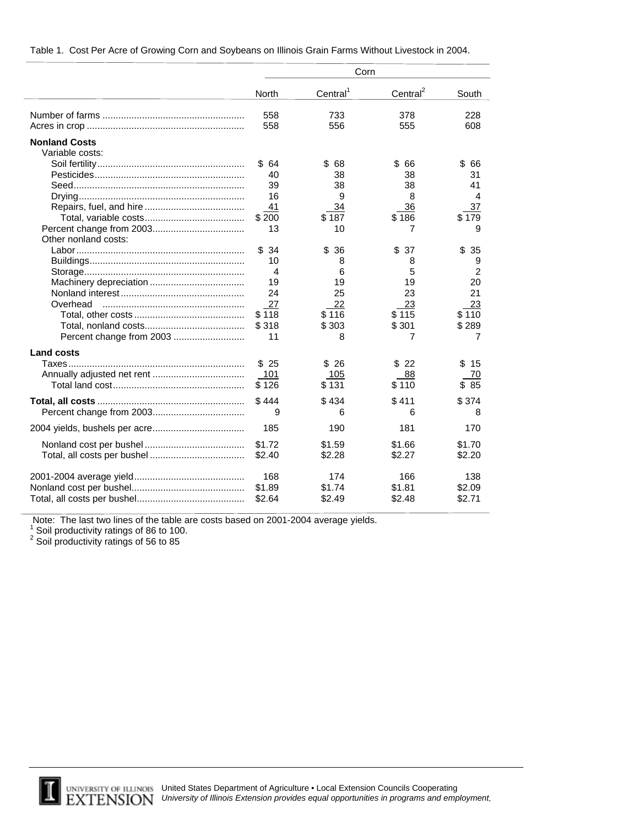|                          | Corn           |                      |                      |          |  |
|--------------------------|----------------|----------------------|----------------------|----------|--|
|                          | <b>North</b>   | Central <sup>1</sup> | Central <sup>2</sup> | South    |  |
|                          | 558            | 733                  | 378                  | 228      |  |
|                          | 558            | 556                  | 555                  | 608      |  |
| <b>Nonland Costs</b>     |                |                      |                      |          |  |
| Variable costs:          |                |                      |                      |          |  |
|                          | \$64           | \$<br>68             | \$<br>66             | \$<br>66 |  |
|                          | 40             | 38                   | 38                   | 31       |  |
|                          | 39             | 38                   | 38                   | 41       |  |
|                          | 16             | 9                    | 8                    | 4        |  |
|                          | 41             | 34                   | 36                   | 37       |  |
|                          | \$200          | \$187                | \$186                | \$179    |  |
| Other nonland costs:     | 13             | 10                   | 7                    | 9        |  |
|                          | \$34           | \$<br>36             | \$<br>37             | \$<br>35 |  |
|                          | 10             | 8                    | 8                    | 9        |  |
|                          | $\overline{4}$ | 6                    | 5                    | 2        |  |
|                          | 19             | 19                   | 19                   | 20       |  |
|                          | 24             | 25                   | 23                   | 21       |  |
| Overhead                 | 27             | 22                   | 23                   | 23       |  |
|                          | \$118          | \$116                | \$115                | \$110    |  |
|                          | \$318          | \$303                | \$301                | \$289    |  |
| Percent change from 2003 | 11             | 8                    | 7                    | 7        |  |
| <b>Land costs</b>        |                |                      |                      |          |  |
|                          | \$25           | \$26                 | \$<br>-22            | \$<br>15 |  |
|                          | 101            | 105                  | 88                   | 70       |  |
|                          | \$126          | \$131                | \$110                | 85<br>\$ |  |
|                          | \$444          | \$434                | \$411                | \$374    |  |
|                          | 9              | 6                    | 6                    | 8        |  |
|                          | 185            | 190                  | 181                  | 170      |  |
|                          | \$1.72         | \$1.59               | \$1.66               | \$1.70   |  |
|                          | \$2.40         | \$2.28               | \$2.27               | \$2.20   |  |
|                          | 168            | 174                  | 166                  | 138      |  |
|                          | \$1.89         | \$1.74               | \$1.81               | \$2.09   |  |
|                          | \$2.64         | \$2.49               | \$2.48               | \$2.71   |  |

| Table 1. Cost Per Acre of Growing Corn and Soybeans on Illinois Grain Farms Without Livestock in 2004. |
|--------------------------------------------------------------------------------------------------------|
|--------------------------------------------------------------------------------------------------------|

Note: The last two lines of the table are costs based on 2001-2004 average yields.<br><sup>1</sup> Soil productivity ratings of 86 to 100.<br><sup>2</sup> Soil productivity ratings of 56 to 85



 $\overline{a}$